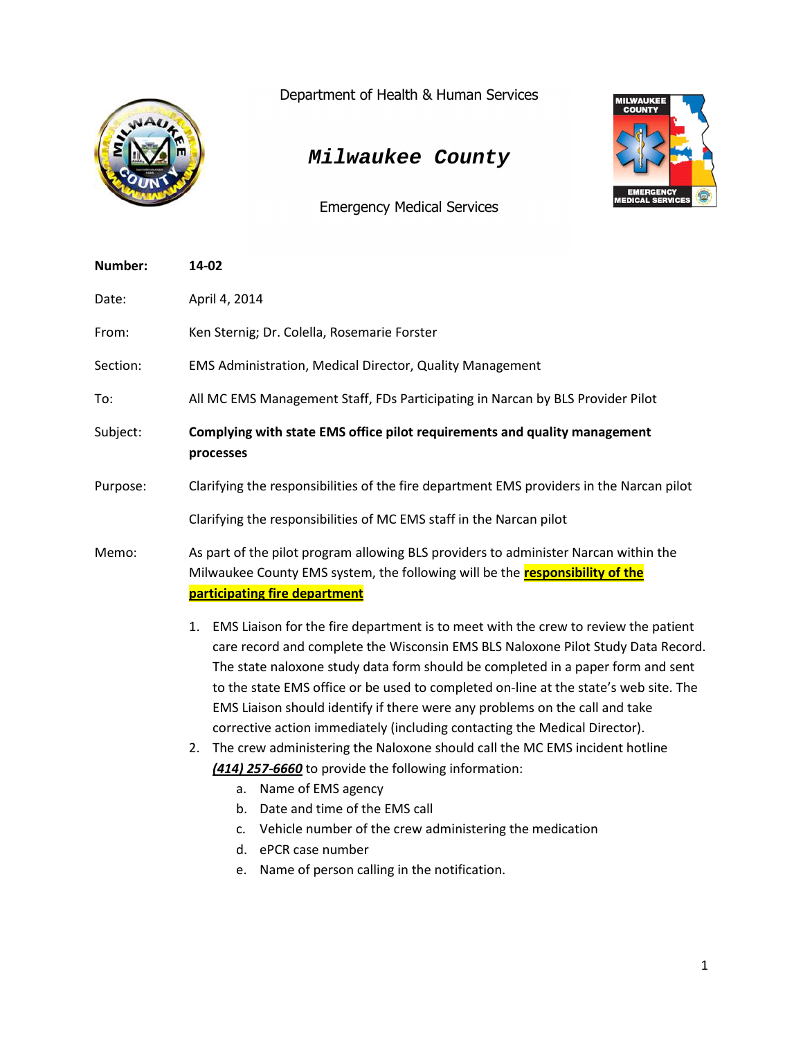

Department of Health & Human Services

## *Milwaukee County*

Emergency Medical Services



| Number:  | 14-02                                                                                                                                                                                                                                                                                                                                                                                                                                                                                                                                                                                                                                                                                                                                                                                                                                                                                            |
|----------|--------------------------------------------------------------------------------------------------------------------------------------------------------------------------------------------------------------------------------------------------------------------------------------------------------------------------------------------------------------------------------------------------------------------------------------------------------------------------------------------------------------------------------------------------------------------------------------------------------------------------------------------------------------------------------------------------------------------------------------------------------------------------------------------------------------------------------------------------------------------------------------------------|
| Date:    | April 4, 2014                                                                                                                                                                                                                                                                                                                                                                                                                                                                                                                                                                                                                                                                                                                                                                                                                                                                                    |
| From:    | Ken Sternig; Dr. Colella, Rosemarie Forster                                                                                                                                                                                                                                                                                                                                                                                                                                                                                                                                                                                                                                                                                                                                                                                                                                                      |
| Section: | EMS Administration, Medical Director, Quality Management                                                                                                                                                                                                                                                                                                                                                                                                                                                                                                                                                                                                                                                                                                                                                                                                                                         |
| To:      | All MC EMS Management Staff, FDs Participating in Narcan by BLS Provider Pilot                                                                                                                                                                                                                                                                                                                                                                                                                                                                                                                                                                                                                                                                                                                                                                                                                   |
| Subject: | Complying with state EMS office pilot requirements and quality management<br>processes                                                                                                                                                                                                                                                                                                                                                                                                                                                                                                                                                                                                                                                                                                                                                                                                           |
| Purpose: | Clarifying the responsibilities of the fire department EMS providers in the Narcan pilot                                                                                                                                                                                                                                                                                                                                                                                                                                                                                                                                                                                                                                                                                                                                                                                                         |
|          | Clarifying the responsibilities of MC EMS staff in the Narcan pilot                                                                                                                                                                                                                                                                                                                                                                                                                                                                                                                                                                                                                                                                                                                                                                                                                              |
| Memo:    | As part of the pilot program allowing BLS providers to administer Narcan within the<br>Milwaukee County EMS system, the following will be the <b>responsibility of the</b><br>participating fire department                                                                                                                                                                                                                                                                                                                                                                                                                                                                                                                                                                                                                                                                                      |
|          | EMS Liaison for the fire department is to meet with the crew to review the patient<br>1.<br>care record and complete the Wisconsin EMS BLS Naloxone Pilot Study Data Record.<br>The state naloxone study data form should be completed in a paper form and sent<br>to the state EMS office or be used to completed on-line at the state's web site. The<br>EMS Liaison should identify if there were any problems on the call and take<br>corrective action immediately (including contacting the Medical Director).<br>The crew administering the Naloxone should call the MC EMS incident hotline<br>2.<br>(414) 257-6660 to provide the following information:<br>Name of EMS agency<br>a.<br>Date and time of the EMS call<br>b.<br>Vehicle number of the crew administering the medication<br>$\mathsf{C}$ .<br>ePCR case number<br>d.<br>Name of person calling in the notification.<br>e. |